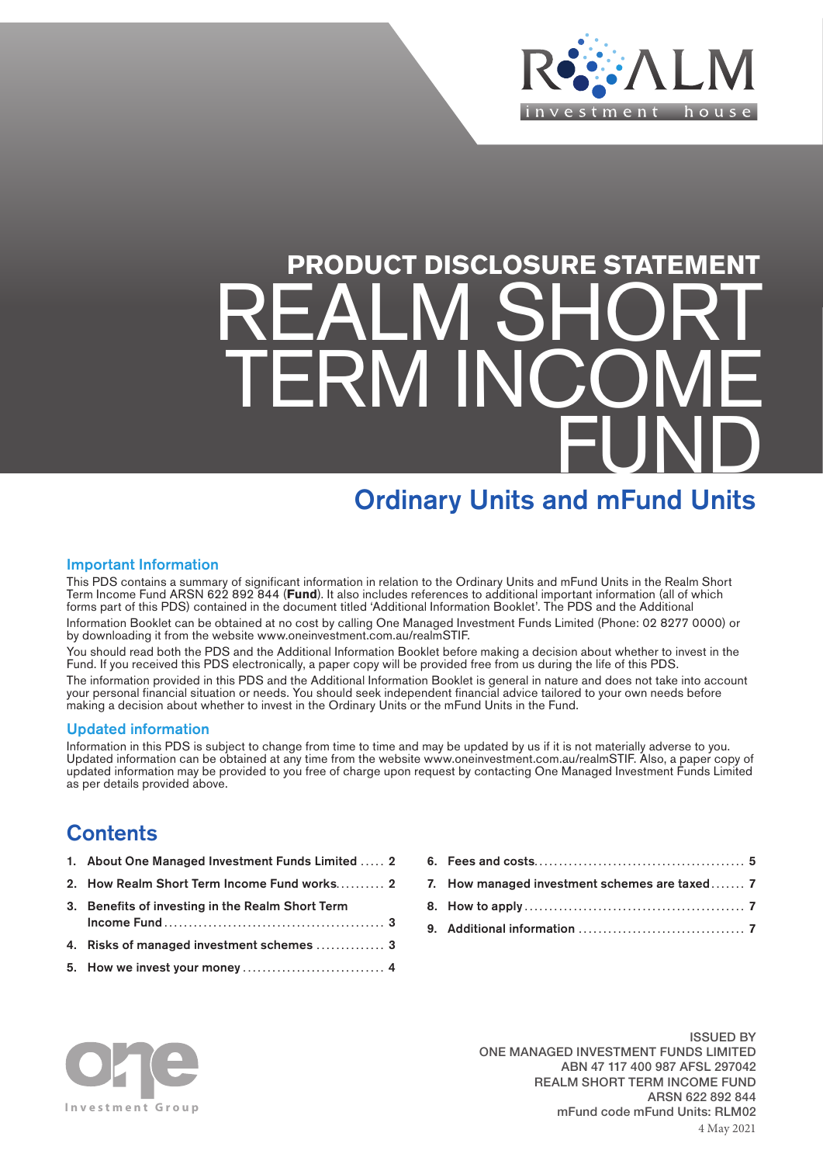

# **PRODUCT DISCLOSURE STATEMENT** REALM SHORT TERM INCOME FUND

# Ordinary Units and mFund Units

# Important Information

This PDS contains a summary of significant information in relation to the Ordinary Units and mFund Units in the Realm Short Term Income Fund ARSN 622 892 844 (**Fund**). It also includes references to additional important information (all of which forms part of this PDS) contained in the document titled 'Additional Information Booklet'. The PDS and the Additional Information Booklet can be obtained at no cost by calling One Managed Investment Funds Limited (Phone: 02 8277 0000) or by downloading it from the website [www.oneinvestment.com.au/realmSTIF](http://www.oneinvestment.com.au/realmSTIF).

You should read both the PDS and the Additional Information Booklet before making a decision about whether to invest in the Fund. If you received this PDS electronically, a paper copy will be provided free from us during the life of this PDS.

The information provided in this PDS and the Additional Information Booklet is general in nature and does not take into account your personal financial situation or needs. You should seek independent financial advice tailored to your own needs before making a decision about whether to invest in the Ordinary Units or the mFund Units in the Fund.

# Updated information

Information in this PDS is subject to change from time to time and may be updated by us if it is not materially adverse to you. Updated information can be obtained at any time from the website [www.oneinvestment.com.au/realmSTIF.](http://www.oneinvestment.com.au/realmSTIF) Also, a paper copy of updated information may be provided to you free of charge upon request by contacting One Managed Investment Funds Limited as per details provided above.

# **Contents**

- 1. About One Managed Investment Funds Limited ..... 2
- 2. How Realm Short Term Income Fund works.......... 2
- 3. Benefits of investing in the Realm Short Term Income Fund ............................................. 3
- 4. Risks of managed investment schemes .............. 3
- 5. How we invest your money ............................. 4

| 7. How managed investment schemes are taxed 7 |  |
|-----------------------------------------------|--|
|                                               |  |
|                                               |  |



ISSUED BY ONE MANAGED INVESTMENT FUNDS LIMITED ABN 47 117 400 987 AFSL 297042 REALM SHORT TERM INCOME FUND ARSN 622 892 844 mFund code mFund Units: RLM02 4 May 2021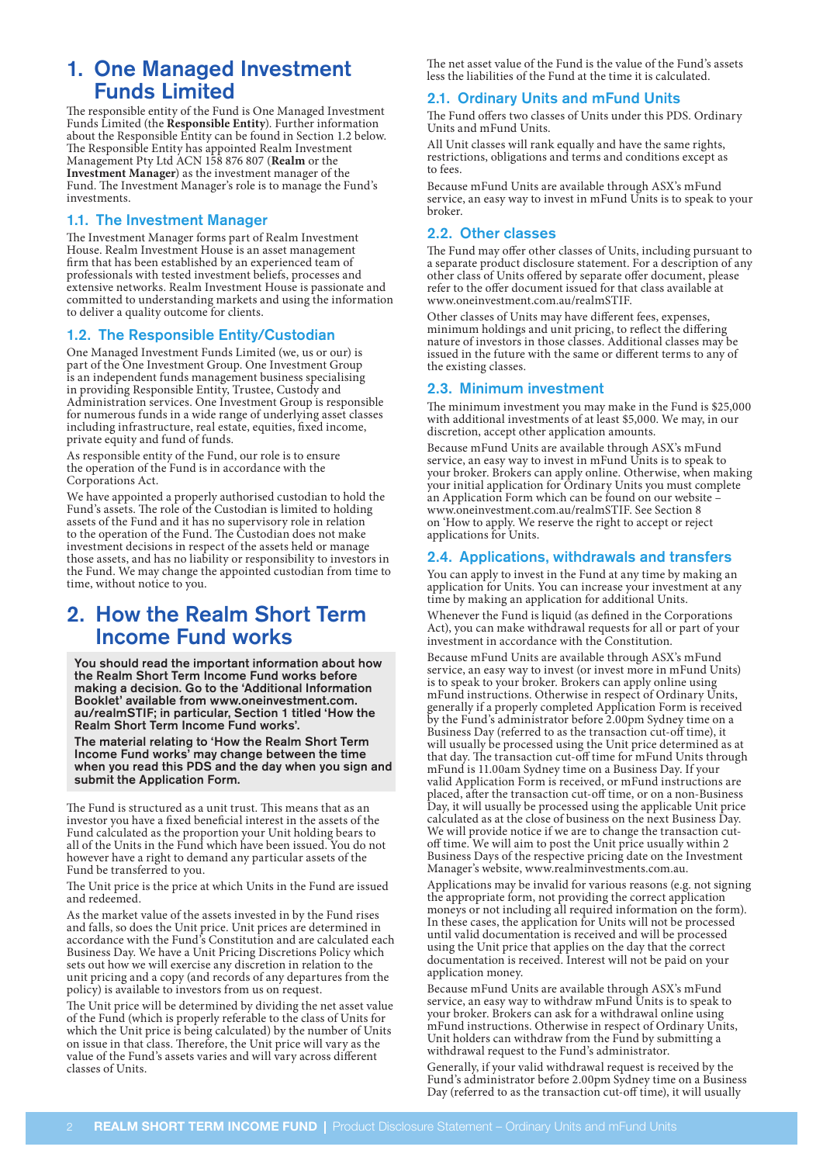# 1. One Managed Investment Funds Limited

The responsible entity of the Fund is One Managed Investment Funds Limited (the **Responsible Entity**). Further information about the Responsible Entity can be found in Section 1.2 below. The Responsible Entity has appointed Realm Investment Management Pty Ltd ACN 158 876 807 (**Realm** or the **Investment Manager**) as the investment manager of the Fund. The Investment Manager's role is to manage the Fund's investments.

# 1.1. The Investment Manager

The Investment Manager forms part of Realm Investment House. Realm Investment House is an asset management firm that has been established by an experienced team of professionals with tested investment beliefs, processes and extensive networks. Realm Investment House is passionate and committed to understanding markets and using the information to deliver a quality outcome for clients.

# 1.2. The Responsible Entity/Custodian

One Managed Investment Funds Limited (we, us or our) is part of the One Investment Group. One Investment Group is an independent funds management business specialising in providing Responsible Entity, Trustee, Custody and Administration services. One Investment Group is responsible for numerous funds in a wide range of underlying asset classes including infrastructure, real estate, equities, fixed income, private equity and fund of funds.

As responsible entity of the Fund, our role is to ensure the operation of the Fund is in accordance with the Corporations Act.

We have appointed a properly authorised custodian to hold the Fund's assets. The role of the Custodian is limited to holding assets of the Fund and it has no supervisory role in relation to the operation of the Fund. The Custodian does not make investment decisions in respect of the assets held or manage those assets, and has no liability or responsibility to investors in the Fund. We may change the appointed custodian from time to time, without notice to you.

# 2. How the Realm Short Term Income Fund works

You should read the important information about how the Realm Short Term Income Fund works before making a decision. Go to the 'Additional Information Booklet' available from [www.oneinvestment.com.](http://www.oneinvestment.com.au/realmSTIF) [au/realmSTIF](http://www.oneinvestment.com.au/realmSTIF); in particular, Section 1 titled 'How the Realm Short Term Income Fund works'.

The material relating to 'How the Realm Short Term Income Fund works' may change between the time when you read this PDS and the day when you sign and submit the Application Form.

The Fund is structured as a unit trust. This means that as an investor you have a fixed beneficial interest in the assets of the Fund calculated as the proportion your Unit holding bears to all of the Units in the Fund which have been issued. You do not however have a right to demand any particular assets of the Fund be transferred to you.

The Unit price is the price at which Units in the Fund are issued and redeemed.

As the market value of the assets invested in by the Fund rises and falls, so does the Unit price. Unit prices are determined in accordance with the Fund's Constitution and are calculated each Business Day. We have a Unit Pricing Discretions Policy which sets out how we will exercise any discretion in relation to the unit pricing and a copy (and records of any departures from the policy) is available to investors from us on request.

The Unit price will be determined by dividing the net asset value of the Fund (which is properly referable to the class of Units for which the Unit price is being calculated) by the number of Units on issue in that class. Therefore, the Unit price will vary as the value of the Fund's assets varies and will vary across different classes of Units.

The net asset value of the Fund is the value of the Fund's assets less the liabilities of the Fund at the time it is calculated.

# 2.1. Ordinary Units and mFund Units

The Fund offers two classes of Units under this PDS. Ordinary Units and mFund Units.

All Unit classes will rank equally and have the same rights, restrictions, obligations and terms and conditions except as to fees

Because mFund Units are available through ASX's mFund service, an easy way to invest in mFund Units is to speak to your broker.

### 2.2. Other classes

The Fund may offer other classes of Units, including pursuant to a separate product disclosure statement. For a description of any other class of Units offered by separate offer document, please refer to the offer document issued for that class available at [www.oneinvestment.com.au/realmSTIF](http://www.oneinvestment.com.au/realmSTIF).

Other classes of Units may have different fees, expenses, minimum holdings and unit pricing, to reflect the differing nature of investors in those classes. Additional classes may be issued in the future with the same or different terms to any of the existing classes.

### 2.3. Minimum investment

The minimum investment you may make in the Fund is \$25,000 with additional investments of at least \$5,000. We may, in our discretion, accept other application amounts.

Because mFund Units are available through ASX's mFund service, an easy way to invest in mFund Units is to speak to your broker. Brokers can apply online. Otherwise, when making your initial application for Ordinary Units you must complete an Application Form which can be found on our website – [www.oneinvestment.com.au/realmSTIF](http://www.oneinvestment.com.au/realmSTIF). See Section 8 on 'How to apply. We reserve the right to accept or reject applications for Units.

### 2.4. Applications, withdrawals and transfers

You can apply to invest in the Fund at any time by making an application for Units. You can increase your investment at any time by making an application for additional Units.

Whenever the Fund is liquid (as defined in the Corporations Act), you can make withdrawal requests for all or part of your investment in accordance with the Constitution.

Because mFund Units are available through ASX's mFund service, an easy way to invest (or invest more in mFund Units) is to speak to your broker. Brokers can apply online using mFund instructions. Otherwise in respect of Ordinary Units, generally if a properly completed Application Form is received by the Fund's administrator before 2.00pm Sydney time on a Business Day (referred to as the transaction cut-off time), it will usually be processed using the Unit price determined as at that day. The transaction cut-off time for mFund Units through mFund is 11.00am Sydney time on a Business Day. If your valid Application Form is received, or mFund instructions are placed, after the transaction cut-off time, or on a non-Business Day, it will usually be processed using the applicable Unit price calculated as at the close of business on the next Business Day. We will provide notice if we are to change the transaction cutoff time. We will aim to post the Unit price usually within 2 Business Days of the respective pricing date on the Investment Manager's website, [www.realminvestments.com.au](http://www.realminvestments.com.au).

Applications may be invalid for various reasons (e.g. not signing the appropriate form, not providing the correct application moneys or not including all required information on the form). In these cases, the application for Units will not be processed until valid documentation is received and will be processed using the Unit price that applies on the day that the correct documentation is received. Interest will not be paid on your application money.

Because mFund Units are available through ASX's mFund service, an easy way to withdraw mFund Units is to speak to your broker. Brokers can ask for a withdrawal online using mFund instructions. Otherwise in respect of Ordinary Units, Unit holders can withdraw from the Fund by submitting a withdrawal request to the Fund's administrator.

Generally, if your valid withdrawal request is received by the Fund's administrator before 2.00pm Sydney time on a Business Day (referred to as the transaction cut-off time), it will usually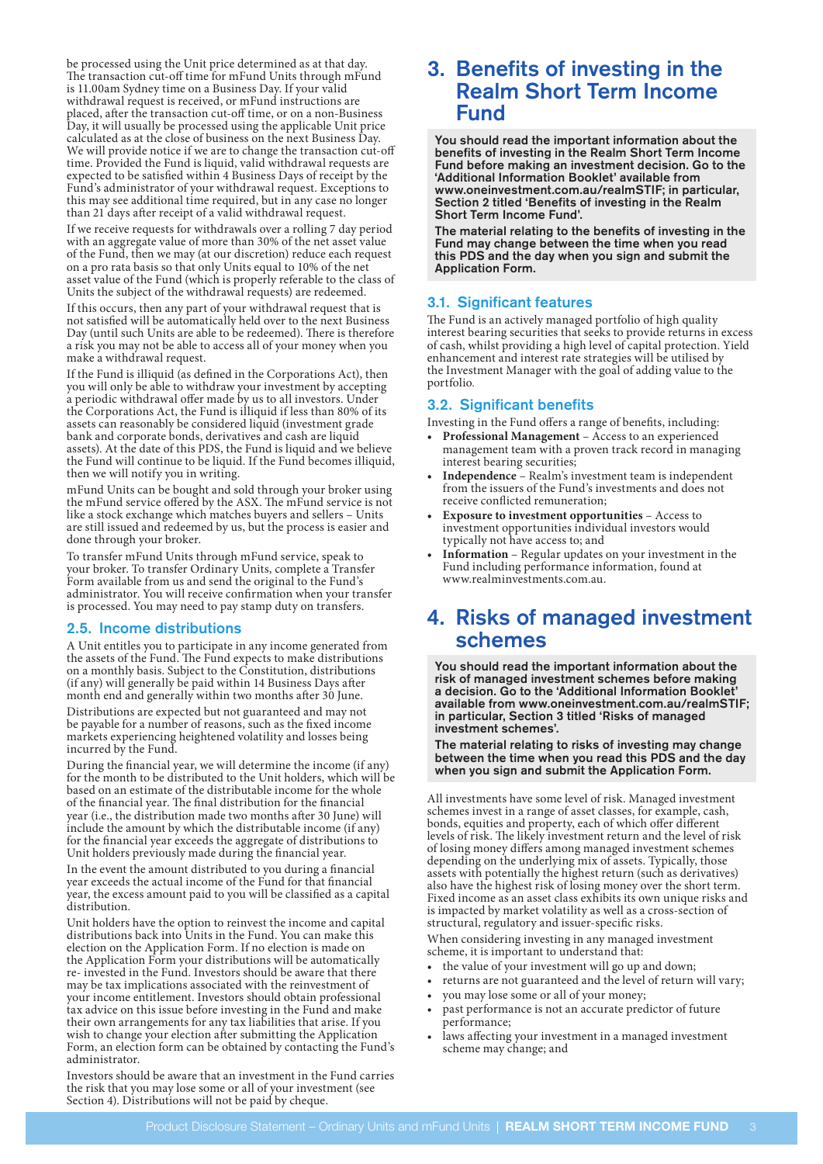be processed using the Unit price determined as at that day. The transaction cut-off time for mFund Units through mFund is 11.00am Sydney time on a Business Day. If your valid withdrawal request is received, or mFund instructions are placed, after the transaction cut-off time, or on a non-Business Day, it will usually be processed using the applicable Unit price calculated as at the close of business on the next Business Day. We will provide notice if we are to change the transaction cut-off time. Provided the Fund is liquid, valid withdrawal requests are expected to be satisfied within 4 Business Days of receipt by the Fund's administrator of your withdrawal request. Exceptions to this may see additional time required, but in any case no longer than 21 days after receipt of a valid withdrawal request.

If we receive requests for withdrawals over a rolling 7 day period with an aggregate value of more than 30% of the net asset value of the Fund, then we may (at our discretion) reduce each request on a pro rata basis so that only Units equal to 10% of the net asset value of the Fund (which is properly referable to the class of Units the subject of the withdrawal requests) are redeemed.

If this occurs, then any part of your withdrawal request that is not satisfied will be automatically held over to the next Business Day (until such Units are able to be redeemed). There is therefore a risk you may not be able to access all of your money when you make a withdrawal request.

If the Fund is illiquid (as defined in the Corporations Act), then you will only be able to withdraw your investment by accepting a periodic withdrawal offer made by us to all investors. Under the Corporations Act, the Fund is illiquid if less than 80% of its assets can reasonably be considered liquid (investment grade bank and corporate bonds, derivatives and cash are liquid assets). At the date of this PDS, the Fund is liquid and we believe the Fund will continue to be liquid. If the Fund becomes illiquid, then we will notify you in writing.

mFund Units can be bought and sold through your broker using the mFund service offered by the ASX. The mFund service is not like a stock exchange which matches buyers and sellers – Units are still issued and redeemed by us, but the process is easier and done through your broker.

To transfer mFund Units through mFund service, speak to your broker. To transfer Ordinary Units, complete a Transfer Form available from us and send the original to the Fund's administrator. You will receive confirmation when your transfer is processed. You may need to pay stamp duty on transfers.

### 2.5. Income distributions

A Unit entitles you to participate in any income generated from the assets of the Fund. The Fund expects to make distributions on a monthly basis. Subject to the Constitution, distributions (if any) will generally be paid within 14 Business Days after month end and generally within two months after 30 June.

Distributions are expected but not guaranteed and may not be payable for a number of reasons, such as the fixed income markets experiencing heightened volatility and losses being incurred by the Fund.

During the financial year, we will determine the income (if any) for the month to be distributed to the Unit holders, which will be based on an estimate of the distributable income for the whole of the financial year. The final distribution for the financial year (i.e., the distribution made two months after 30 June) will include the amount by which the distributable income (if any) for the financial year exceeds the aggregate of distributions to Unit holders previously made during the financial year.

In the event the amount distributed to you during a financial year exceeds the actual income of the Fund for that financial year, the excess amount paid to you will be classified as a capital distribution.

Unit holders have the option to reinvest the income and capital distributions back into Units in the Fund. You can make this election on the Application Form. If no election is made on the Application Form your distributions will be automatically re- invested in the Fund. Investors should be aware that there may be tax implications associated with the reinvestment of your income entitlement. Investors should obtain professional tax advice on this issue before investing in the Fund and make their own arrangements for any tax liabilities that arise. If you wish to change your election after submitting the Application Form, an election form can be obtained by contacting the Fund's administrator.

Investors should be aware that an investment in the Fund carries the risk that you may lose some or all of your investment (see Section 4). Distributions will not be paid by cheque.

# 3. Benefits of investing in the Realm Short Term Income Fund

You should read the important information about the benefits of investing in the Realm Short Term Income Fund before making an investment decision. Go to the 'Additional Information Booklet' available from [www.oneinvestment.com.au/realmSTIF](http://www.oneinvestment.com.au/realmSTIF); in particular, Section 2 titled 'Benefits of investing in the Realm Short Term Income Fund'.

The material relating to the benefits of investing in the Fund may change between the time when you read this PDS and the day when you sign and submit the Application Form.

### 3.1. Significant features

The Fund is an actively managed portfolio of high quality interest bearing securities that seeks to provide returns in excess of cash, whilst providing a high level of capital protection. Yield enhancement and interest rate strategies will be utilised by the Investment Manager with the goal of adding value to the portfolio.

### 3.2. Significant benefits

Investing in the Fund offers a range of benefits, including:

- **• Professional Management** Access to an experienced management team with a proven track record in managing interest bearing securities;
- **• Independence** Realm's investment team is independent from the issuers of the Fund's investments and does not receive conflicted remuneration;
- **• Exposure to investment opportunities** Access to investment opportunities individual investors would typically not have access to; and
- **• Information** Regular updates on your investment in the Fund including performance information, found at [www.realminvestments.com.au.](http://www.realminvestments.com.au)

# 4. Risks of managed investment schemes

You should read the important information about the risk of managed investment schemes before making a decision. Go to the 'Additional Information Booklet' available from [www.oneinvestment.com.au/realmSTIF;](http://www.oneinvestment.com.au/realmSTIF) in particular, Section 3 titled 'Risks of managed investment schemes'.

The material relating to risks of investing may change between the time when you read this PDS and the day when you sign and submit the Application Form.

All investments have some level of risk. Managed investment schemes invest in a range of asset classes, for example, cash, bonds, equities and property, each of which offer different levels of risk. The likely investment return and the level of risk of losing money differs among managed investment schemes depending on the underlying mix of assets. Typically, those assets with potentially the highest return (such as derivatives) also have the highest risk of losing money over the short term. Fixed income as an asset class exhibits its own unique risks and is impacted by market volatility as well as a cross-section of structural, regulatory and issuer-specific risks.

When considering investing in any managed investment scheme, it is important to understand that:

- the value of your investment will go up and down;
- returns are not guaranteed and the level of return will vary;
- you may lose some or all of your money;
- past performance is not an accurate predictor of future performance;
- laws affecting your investment in a managed investment scheme may change; and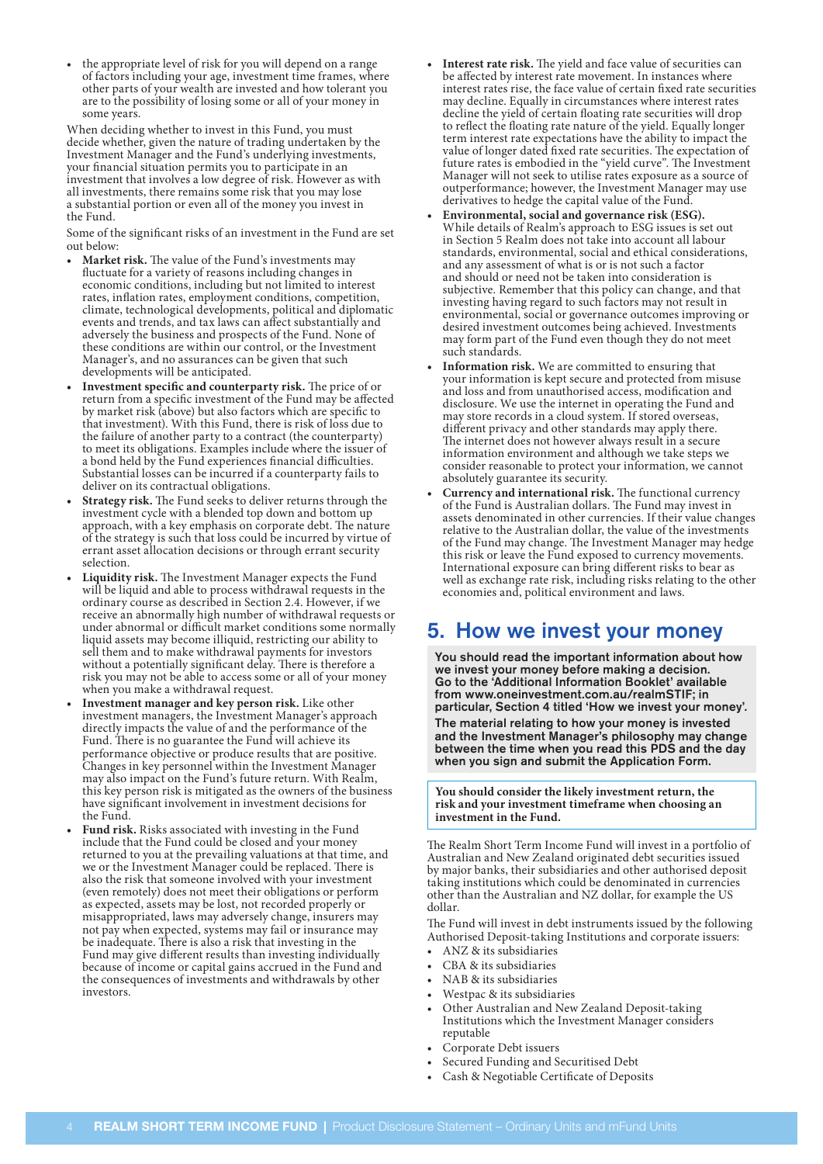• the appropriate level of risk for you will depend on a range of factors including your age, investment time frames, where other parts of your wealth are invested and how tolerant you are to the possibility of losing some or all of your money in some years.

When deciding whether to invest in this Fund, you must decide whether, given the nature of trading undertaken by the Investment Manager and the Fund's underlying investments, your financial situation permits you to participate in an investment that involves a low degree of risk. However as with all investments, there remains some risk that you may lose a substantial portion or even all of the money you invest in the Fund.

Some of the significant risks of an investment in the Fund are set out below:

- **• Market risk.** The value of the Fund's investments may fluctuate for a variety of reasons including changes in economic conditions, including but not limited to interest rates, inflation rates, employment conditions, competition, climate, technological developments, political and diplomatic events and trends, and tax laws can affect substantially and adversely the business and prospects of the Fund. None of these conditions are within our control, or the Investment Manager's, and no assurances can be given that such developments will be anticipated.
- **• Investment specific and counterparty risk.** The price of or return from a specific investment of the Fund may be affected by market risk (above) but also factors which are specific to that investment). With this Fund, there is risk of loss due to the failure of another party to a contract (the counterparty) to meet its obligations. Examples include where the issuer of a bond held by the Fund experiences financial difficulties. Substantial losses can be incurred if a counterparty fails to deliver on its contractual obligations.
- **• Strategy risk.** The Fund seeks to deliver returns through the investment cycle with a blended top down and bottom up approach, with a key emphasis on corporate debt. The nature of the strategy is such that loss could be incurred by virtue of errant asset allocation decisions or through errant security selection.
- **• Liquidity risk.** The Investment Manager expects the Fund will be liquid and able to process withdrawal requests in the ordinary course as described in Section 2.4. However, if we receive an abnormally high number of withdrawal requests or under abnormal or difficult market conditions some normally liquid assets may become illiquid, restricting our ability to sell them and to make withdrawal payments for investors without a potentially significant delay. There is therefore a risk you may not be able to access some or all of your money when you make a withdrawal request.
- **• Investment manager and key person risk.** Like other investment managers, the Investment Manager's approach directly impacts the value of and the performance of the Fund. There is no guarantee the Fund will achieve its performance objective or produce results that are positive. Changes in key personnel within the Investment Manager may also impact on the Fund's future return. With Realm, this key person risk is mitigated as the owners of the business have significant involvement in investment decisions for the Fund.
- **• Fund risk.** Risks associated with investing in the Fund include that the Fund could be closed and your money returned to you at the prevailing valuations at that time, and we or the Investment Manager could be replaced. There is also the risk that someone involved with your investment (even remotely) does not meet their obligations or perform as expected, assets may be lost, not recorded properly or misappropriated, laws may adversely change, insurers may not pay when expected, systems may fail or insurance may be inadequate. There is also a risk that investing in the Fund may give different results than investing individually because of income or capital gains accrued in the Fund and the consequences of investments and withdrawals by other investors.
- **• Interest rate risk.** The yield and face value of securities can be affected by interest rate movement. In instances where interest rates rise, the face value of certain fixed rate securities may decline. Equally in circumstances where interest rates decline the yield of certain floating rate securities will drop to reflect the floating rate nature of the yield. Equally longer term interest rate expectations have the ability to impact the value of longer dated fixed rate securities. The expectation of future rates is embodied in the "yield curve". The Investment Manager will not seek to utilise rates exposure as a source of outperformance; however, the Investment Manager may use derivatives to hedge the capital value of the Fund.
- **• Environmental, social and governance risk (ESG).** While details of Realm's approach to ESG issues is set out in Section 5 Realm does not take into account all labour standards, environmental, social and ethical considerations, and any assessment of what is or is not such a factor and should or need not be taken into consideration is subjective. Remember that this policy can change, and that investing having regard to such factors may not result in environmental, social or governance outcomes improving or desired investment outcomes being achieved. Investments may form part of the Fund even though they do not meet such standards.
- **• Information risk.** We are committed to ensuring that your information is kept secure and protected from misuse and loss and from unauthorised access, modification and disclosure. We use the internet in operating the Fund and may store records in a cloud system. If stored overseas, different privacy and other standards may apply there. The internet does not however always result in a secure information environment and although we take steps we consider reasonable to protect your information, we cannot absolutely guarantee its security.
- **• Currency and international risk.** The functional currency of the Fund is Australian dollars. The Fund may invest in assets denominated in other currencies. If their value changes relative to the Australian dollar, the value of the investments of the Fund may change. The Investment Manager may hedge this risk or leave the Fund exposed to currency movements. International exposure can bring different risks to bear as well as exchange rate risk, including risks relating to the other economies and, political environment and laws.

# 5. How we invest your money

You should read the important information about how we invest your money before making a decision. Go to the 'Additional Information Booklet' available from [www.oneinvestment.com.au/realmSTIF;](http://www.oneinvestment.com.au/realmSTIF) in particular, Section 4 titled 'How we invest your money'.

The material relating to how your money is invested and the Investment Manager's philosophy may change between the time when you read this PDS and the day when you sign and submit the Application Form.

**You should consider the likely investment return, the risk and your investment timeframe when choosing an investment in the Fund.**

The Realm Short Term Income Fund will invest in a portfolio of Australian and New Zealand originated debt securities issued by major banks, their subsidiaries and other authorised deposit taking institutions which could be denominated in currencies other than the Australian and NZ dollar, for example the US dollar.

The Fund will invest in debt instruments issued by the following Authorised Deposit-taking Institutions and corporate issuers:

- ANZ & its subsidiaries
- CBA & its subsidiaries
- NAB & its subsidiaries
- Westpac & its subsidiaries
- Other Australian and New Zealand Deposit-taking Institutions which the Investment Manager considers reputable
- Corporate Debt issuers
- Secured Funding and Securitised Debt
- Cash & Negotiable Certificate of Deposits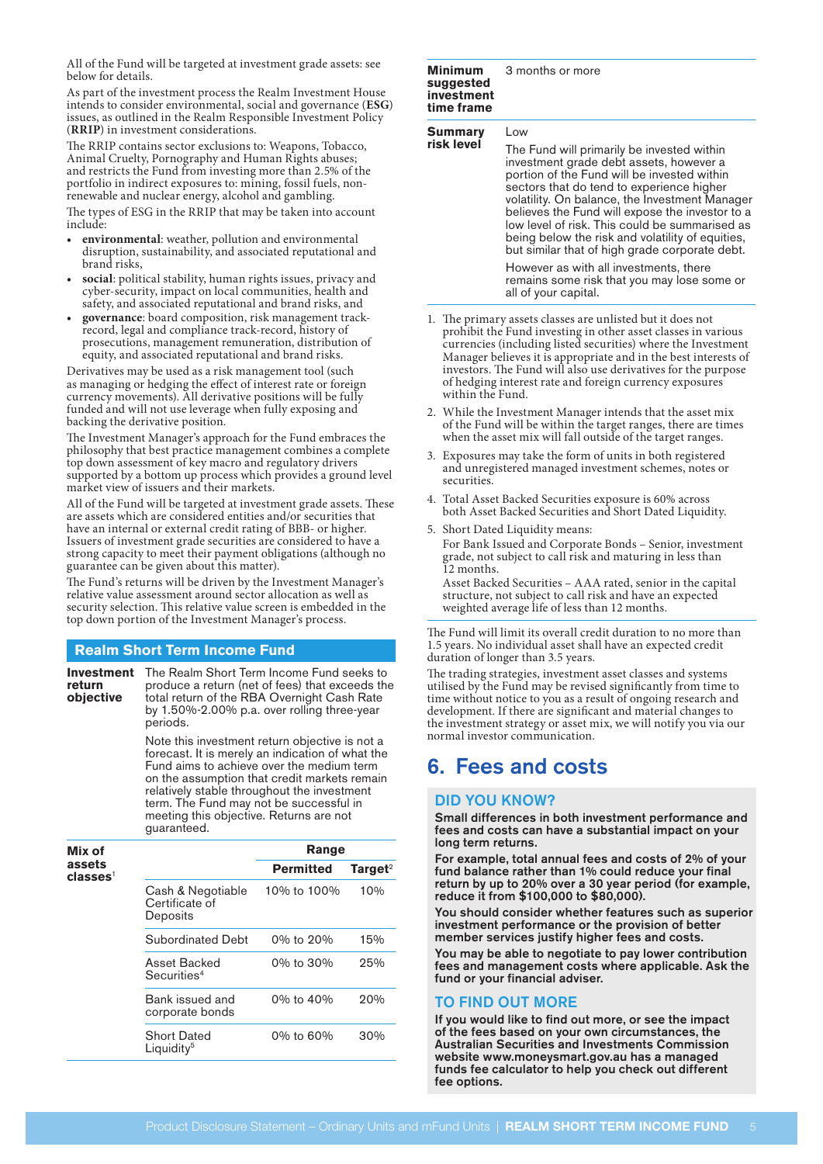All of the Fund will be targeted at investment grade assets: see below for details.

As part of the investment process the Realm Investment House intends to consider environmental, social and governance (**ESG**) issues, as outlined in the Realm Responsible Investment Policy (**RRIP**) in investment considerations.

The RRIP contains sector exclusions to: Weapons, Tobacco, Animal Cruelty, Pornography and Human Rights abuses; and restricts the Fund from investing more than 2.5% of the portfolio in indirect exposures to: mining, fossil fuels, nonrenewable and nuclear energy, alcohol and gambling.

The types of ESG in the RRIP that may be taken into account include:

- **• environmental**: weather, pollution and environmental disruption, sustainability, and associated reputational and brand risks,
- **• social**: political stability, human rights issues, privacy and cyber-security, impact on local communities, health and safety, and associated reputational and brand risks, and
- **• governance**: board composition, risk management trackrecord, legal and compliance track-record, history of prosecutions, management remuneration, distribution of equity, and associated reputational and brand risks.

Derivatives may be used as a risk management tool (such as managing or hedging the effect of interest rate or foreign currency movements). All derivative positions will be fully funded and will not use leverage when fully exposing and backing the derivative position.

The Investment Manager's approach for the Fund embraces the philosophy that best practice management combines a complete top down assessment of key macro and regulatory drivers supported by a bottom up process which provides a ground level market view of issuers and their markets.

All of the Fund will be targeted at investment grade assets. These are assets which are considered entities and/or securities that have an internal or external credit rating of BBB- or higher. Issuers of investment grade securities are considered to have a strong capacity to meet their payment obligations (although no guarantee can be given about this matter).

The Fund's returns will be driven by the Investment Manager's relative value assessment around sector allocation as well as security selection. This relative value screen is embedded in the top down portion of the Investment Manager's process.

# **Realm Short Term Income Fund**

**Investment**  The Realm Short Term Income Fund seeks to **return objective** produce a return (net of fees) that exceeds the total return of the RBA Overnight Cash Rate by 1.50%-2.00% p.a. over rolling three-year periods.

> Note this investment return objective is not a forecast. It is merely an indication of what the Fund aims to achieve over the medium term on the assumption that credit markets remain relatively stable throughout the investment term. The Fund may not be successful in meeting this objective. Returns are not guaranteed.

| Mix of                         |                                                 | Range            |                     |
|--------------------------------|-------------------------------------------------|------------------|---------------------|
| assets<br>classes <sup>1</sup> |                                                 | <b>Permitted</b> | Target <sup>2</sup> |
|                                | Cash & Negotiable<br>Certificate of<br>Deposits | 10% to 100%      | 10%                 |
|                                | Subordinated Debt                               | 0% to 20%        | 15%                 |
|                                | Asset Backed<br>Securities <sup>4</sup>         | 0% to 30%        | 25%                 |
|                                | Bank issued and<br>corporate bonds              | 0% to 40%        | 20%                 |
|                                | <b>Short Dated</b><br>Liquidity <sup>5</sup>    | 0% to 60%        | 30%                 |

#### **Minimum suggested investment**  3 months or more

| IIIVESUIIEIIL<br>time frame |                                                                                                                                                                                                                                                                                |
|-----------------------------|--------------------------------------------------------------------------------------------------------------------------------------------------------------------------------------------------------------------------------------------------------------------------------|
| Summary                     | Low                                                                                                                                                                                                                                                                            |
| risk level                  | The Fund will primarily be invested within<br>investment grade debt assets, however a<br>portion of the Fund will be invested within<br>sectors that do tend to experience higher<br>volatility. On balance, the Investment Mana<br>believes the Fund will expose the investor |

nager. believes the Fund will expose the investor to a low level of risk. This could be summarised as being below the risk and volatility of equities, but similar that of high grade corporate debt.

However as with all investments, there remains some risk that you may lose some or all of your capital.

- 1. The primary assets classes are unlisted but it does not prohibit the Fund investing in other asset classes in various currencies (including listed securities) where the Investment Manager believes it is appropriate and in the best interests of investors. The Fund will also use derivatives for the purpose of hedging interest rate and foreign currency exposures within the Fund.
- 2. While the Investment Manager intends that the asset mix of the Fund will be within the target ranges, there are times when the asset mix will fall outside of the target ranges.
- 3. Exposures may take the form of units in both registered and unregistered managed investment schemes, notes or securities.
- 4. Total Asset Backed Securities exposure is 60% across both Asset Backed Securities and Short Dated Liquidity.
- 5. Short Dated Liquidity means: For Bank Issued and Corporate Bonds – Senior, investment grade, not subject to call risk and maturing in less than 12 months.

Asset Backed Securities – AAA rated, senior in the capital structure, not subject to call risk and have an expected weighted average life of less than 12 months.

The Fund will limit its overall credit duration to no more than 1.5 years. No individual asset shall have an expected credit duration of longer than 3.5 years.

The trading strategies, investment asset classes and systems utilised by the Fund may be revised significantly from time to time without notice to you as a result of ongoing research and development. If there are significant and material changes to the investment strategy or asset mix, we will notify you via our normal investor communication.

# 6. Fees and costs

# DID YOU KNOW?

Small differences in both investment performance and fees and costs can have a substantial impact on your long term returns.

For example, total annual fees and costs of 2% of your fund balance rather than 1% could reduce your final return by up to 20% over a 30 year period (for example, reduce it from \$100,000 to \$80,000).

You should consider whether features such as superior investment performance or the provision of better member services justify higher fees and costs.

You may be able to negotiate to pay lower contribution fees and management costs where applicable. Ask the fund or your financial adviser.

# TO FIND OUT MORE

If you would like to find out more, or see the impact of the fees based on your own circumstances, the Australian Securities and Investments Commission website [www.moneysmart.gov.au](http://www.moneysmart.gov.au) has a managed funds fee calculator to help you check out different fee options.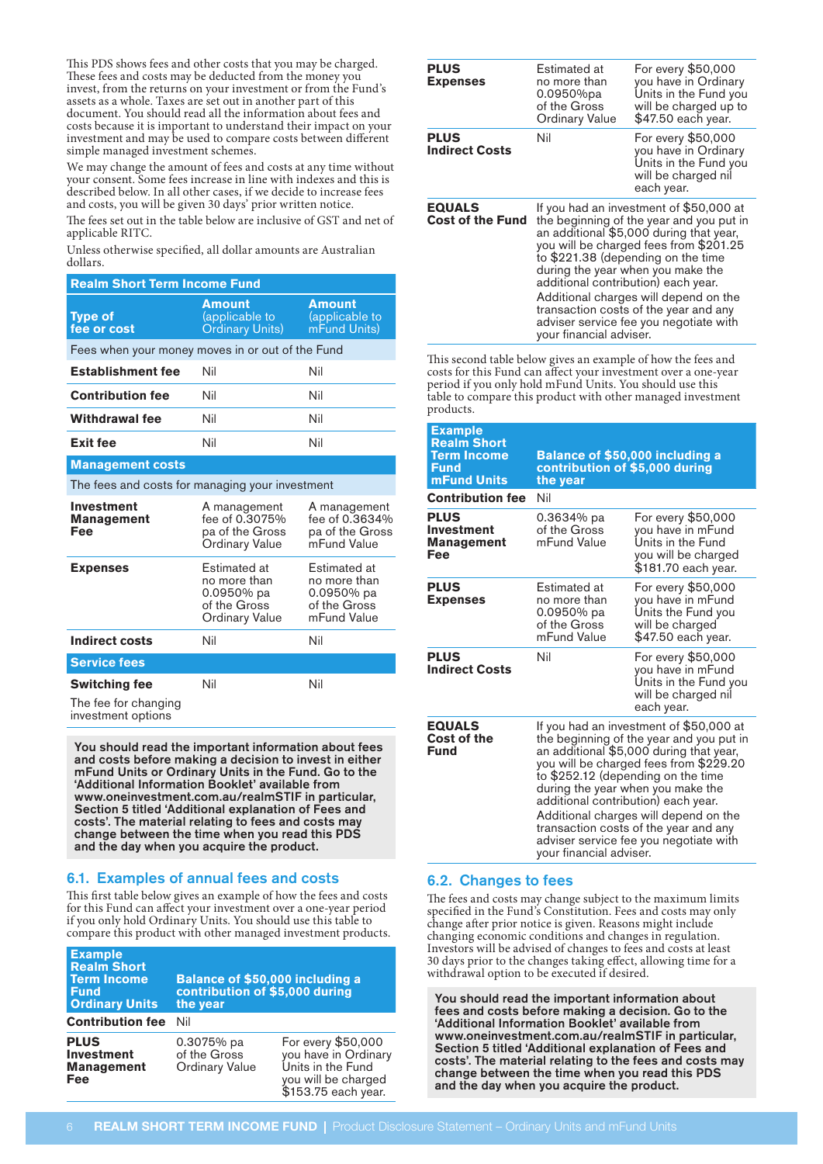This PDS shows fees and other costs that you may be charged. These fees and costs may be deducted from the money you invest, from the returns on your investment or from the Fund's assets as a whole. Taxes are set out in another part of this document. You should read all the information about fees and costs because it is important to understand their impact on your investment and may be used to compare costs between different simple managed investment schemes.

We may change the amount of fees and costs at any time without your consent. Some fees increase in line with indexes and this is described below. In all other cases, if we decide to increase fees and costs, you will be given 30 days' prior written notice.

The fees set out in the table below are inclusive of GST and net of applicable RITC.

Unless otherwise specified, all dollar amounts are Australian dollars.

| <b>Realm Short Term Income Fund</b>                                |                                                                                            |                                                                           |  |
|--------------------------------------------------------------------|--------------------------------------------------------------------------------------------|---------------------------------------------------------------------------|--|
| <b>Type of</b><br>fee or cost                                      | <b>Amount</b><br>(applicable to<br><b>Ordinary Units)</b>                                  | <b>Amount</b><br>(applicable to<br>mFund Units)                           |  |
| Fees when your money moves in or out of the Fund                   |                                                                                            |                                                                           |  |
| <b>Establishment fee</b>                                           | Nil                                                                                        | Nil                                                                       |  |
| <b>Contribution fee</b>                                            | Nil                                                                                        | Nil                                                                       |  |
| Withdrawal fee                                                     | Nil                                                                                        | Nil                                                                       |  |
| Exit fee                                                           | Nil                                                                                        | Nil                                                                       |  |
| <b>Management costs</b>                                            |                                                                                            |                                                                           |  |
| The fees and costs for managing your investment                    |                                                                                            |                                                                           |  |
| <b>Investment</b><br><b>Management</b><br>Fee                      | A management<br>fee of 0.3075%<br>pa of the Gross<br><b>Ordinary Value</b>                 | A management<br>fee of 0.3634%<br>pa of the Gross<br>mFund Value          |  |
| <b>Expenses</b>                                                    | <b>Estimated at</b><br>no more than<br>0.0950% pa<br>of the Gross<br><b>Ordinary Value</b> | Estimated at<br>no more than<br>0.0950% pa<br>of the Gross<br>mFund Value |  |
| <b>Indirect costs</b>                                              | Nil                                                                                        | Nil                                                                       |  |
| <b>Service fees</b>                                                |                                                                                            |                                                                           |  |
| <b>Switching fee</b><br>The fee for changing<br>investment options | Nil                                                                                        | Nil                                                                       |  |

You should read the important information about fees and costs before making a decision to invest in either mFund Units or Ordinary Units in the Fund. Go to the 'Additional Information Booklet' available from [www.oneinvestment.com.au/realmSTIF](http://www.oneinvestment.com.au/realmSTIF) in particular, Section 5 titled 'Additional explanation of Fees and costs'. The material relating to fees and costs may change between the time when you read this PDS and the day when you acquire the product.

# 6.1. Examples of annual fees and costs

This first table below gives an example of how the fees and costs for this Fund can affect your investment over a one-year period if you only hold Ordinary Units. You should use this table to compare this product with other managed investment products.

| <b>Example</b><br><b>Realm Short</b><br><b>Term Income</b><br><b>Fund</b><br><b>Ordinary Units</b> | Balance of \$50,000 including a<br>contribution of \$5,000 during<br>the year |                                                                                                               |  |
|----------------------------------------------------------------------------------------------------|-------------------------------------------------------------------------------|---------------------------------------------------------------------------------------------------------------|--|
| <b>Contribution fee</b>                                                                            | Nil                                                                           |                                                                                                               |  |
| <b>PLUS</b><br><b>Investment</b><br><b>Management</b><br>Fee                                       | 0.3075% pa<br>of the Gross<br><b>Ordinary Value</b>                           | For every \$50,000<br>you have in Ordinary<br>Units in the Fund<br>you will be charged<br>\$153.75 each year. |  |

| <b>PLUS</b><br><b>Expenses</b>           | Estimated at<br>no more than<br>$0.0950%$ pa<br>of the Gross<br><b>Ordinary Value</b>                                                                                                                                                                                                                                                                                                                                                             | For every \$50,000<br>you have in Ordinary<br>Units in the Fund you<br>will be charged up to<br>\$47.50 each year. |
|------------------------------------------|---------------------------------------------------------------------------------------------------------------------------------------------------------------------------------------------------------------------------------------------------------------------------------------------------------------------------------------------------------------------------------------------------------------------------------------------------|--------------------------------------------------------------------------------------------------------------------|
| <b>PLUS</b><br><b>Indirect Costs</b>     | Nil                                                                                                                                                                                                                                                                                                                                                                                                                                               | For every \$50,000<br>you have in Ordinary<br>Units in the Fund you<br>will be charged nil<br>each year.           |
| <b>EQUALS</b><br><b>Cost of the Fund</b> | If you had an investment of \$50,000 at<br>the beginning of the year and you put in<br>an additional \$5,000 during that year,<br>you will be charged fees from \$201.25<br>to \$221.38 (depending on the time<br>during the year when you make the<br>additional contribution) each year.<br>Additional charges will depend on the<br>transaction costs of the year and any<br>adviser service fee you negotiate with<br>your financial adviser. |                                                                                                                    |

This second table below gives an example of how the fees and costs for this Fund can affect your investment over a one-year period if you only hold mFund Units. You should use this table to compare this product with other managed investment products.

| <b>Example</b><br><b>Realm Short</b><br><b>Term Income</b><br>Fund<br>mFund Units | <b>Balance of \$50,000 including a</b><br>contribution of \$5,000 during<br>the year                                                                                                                                                                                                                                                                                                                                                              |                                                                                                            |
|-----------------------------------------------------------------------------------|---------------------------------------------------------------------------------------------------------------------------------------------------------------------------------------------------------------------------------------------------------------------------------------------------------------------------------------------------------------------------------------------------------------------------------------------------|------------------------------------------------------------------------------------------------------------|
| <b>Contribution fee</b>                                                           | Nil                                                                                                                                                                                                                                                                                                                                                                                                                                               |                                                                                                            |
| <b>PLUS</b><br>Investment<br>Management<br>Fee                                    | 0.3634% pa<br>of the Gross<br>mFund Value                                                                                                                                                                                                                                                                                                                                                                                                         | For every \$50,000<br>you have in mFund<br>Units in the Fund<br>you will be charged<br>\$181.70 each year. |
| <b>PLUS</b><br><b>Expenses</b>                                                    | Estimated at<br>no more than<br>$0.0950%$ pa<br>of the Gross<br>mFund Value                                                                                                                                                                                                                                                                                                                                                                       | For every \$50,000<br>you have in mFund<br>Units the Fund you<br>will be charged<br>\$47.50 each year.     |
| <b>PLUS</b><br><b>Indirect Costs</b>                                              | Nil                                                                                                                                                                                                                                                                                                                                                                                                                                               | For every \$50,000<br>you have in mFund<br>Units in the Fund you<br>will be charged nil<br>each year.      |
| <b>EQUALS</b><br>Cost of the<br>Fund                                              | If you had an investment of \$50,000 at<br>the beginning of the year and you put in<br>an additional \$5,000 during that year,<br>you will be charged fees from \$229.20<br>to \$252.12 (depending on the time<br>during the year when you make the<br>additional contribution) each year.<br>Additional charges will depend on the<br>transaction costs of the year and any<br>adviser service fee you negotiate with<br>your financial adviser. |                                                                                                            |

### 6.2. Changes to fees

The fees and costs may change subject to the maximum limits specified in the Fund's Constitution. Fees and costs may only change after prior notice is given. Reasons might include changing economic conditions and changes in regulation. Investors will be advised of changes to fees and costs at least 30 days prior to the changes taking effect, allowing time for a withdrawal option to be executed if desired.

You should read the important information about fees and costs before making a decision. Go to the 'Additional Information Booklet' available from [www.oneinvestment.com.au/realmSTIF](http://www.oneinvestment.com.au/realmSTIF) in particular, Section 5 titled 'Additional explanation of Fees and costs'. The material relating to the fees and costs may change between the time when you read this PDS and the day when you acquire the product.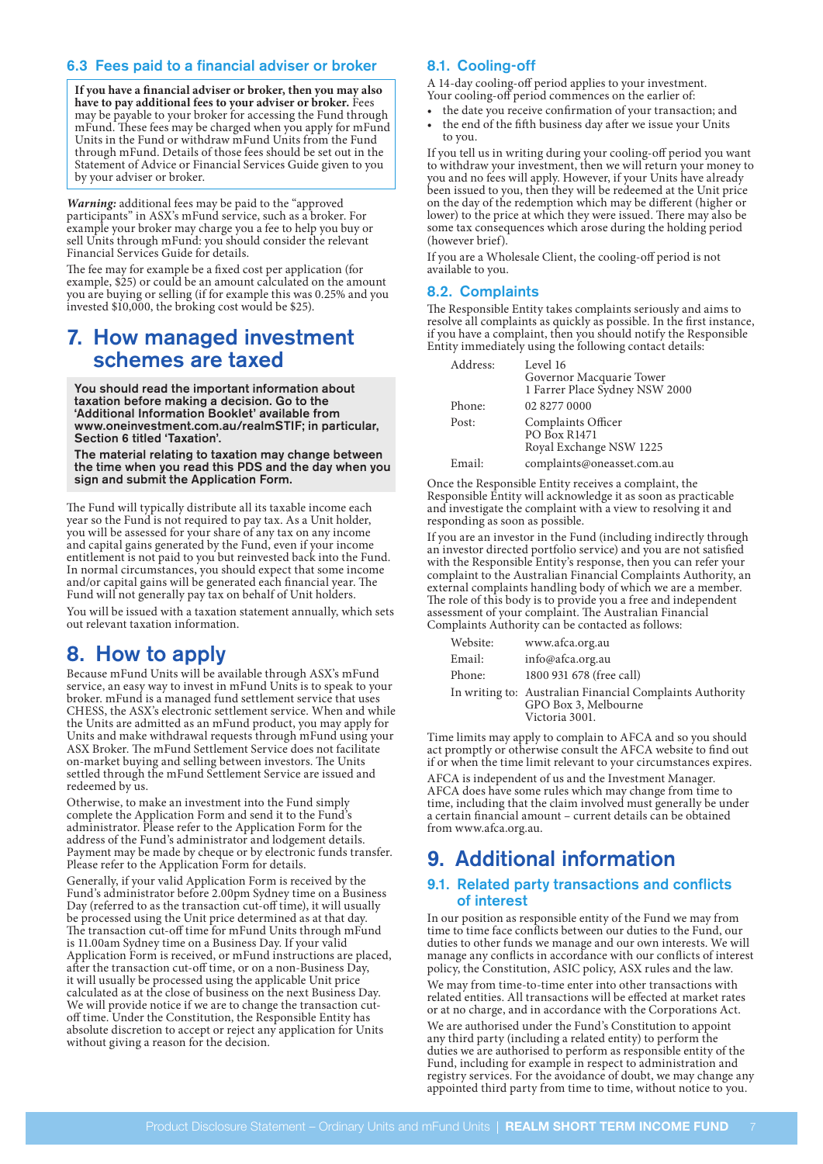# 6.3 Fees paid to a financial adviser or broker

**If you have a financial adviser or broker, then you may also have to pay additional fees to your adviser or broker.** Fees may be payable to your broker for accessing the Fund through mFund. These fees may be charged when you apply for mFund Units in the Fund or withdraw mFund Units from the Fund through mFund. Details of those fees should be set out in the Statement of Advice or Financial Services Guide given to you by your adviser or broker.

*Warning:* additional fees may be paid to the "approved participants" in ASX's mFund service, such as a broker. For example your broker may charge you a fee to help you buy or sell Units through mFund: you should consider the relevant Financial Services Guide for details.

The fee may for example be a fixed cost per application (for example, \$25) or could be an amount calculated on the amount you are buying or selling (if for example this was 0.25% and you invested \$10,000, the broking cost would be \$25).

# 7. How managed investment schemes are taxed

You should read the important information about taxation before making a decision. Go to the 'Additional Information Booklet' available from [www.oneinvestment.com.au/realmSTIF](http://www.oneinvestment.com.au/realmSTIF); in particular, Section 6 titled 'Taxation'.

The material relating to taxation may change between the time when you read this PDS and the day when you sign and submit the Application Form.

The Fund will typically distribute all its taxable income each year so the Fund is not required to pay tax. As a Unit holder, you will be assessed for your share of any tax on any income and capital gains generated by the Fund, even if your income entitlement is not paid to you but reinvested back into the Fund. In normal circumstances, you should expect that some income and/or capital gains will be generated each financial year. The Fund will not generally pay tax on behalf of Unit holders.

You will be issued with a taxation statement annually, which sets out relevant taxation information.

# 8. How to apply

Because mFund Units will be available through ASX's mFund service, an easy way to invest in mFund Units is to speak to your broker. mFund is a managed fund settlement service that uses CHESS, the ASX's electronic settlement service. When and while the Units are admitted as an mFund product, you may apply for Units and make withdrawal requests through mFund using your ASX Broker. The mFund Settlement Service does not facilitate on-market buying and selling between investors. The Units settled through the mFund Settlement Service are issued and redeemed by us.

Otherwise, to make an investment into the Fund simply complete the Application Form and send it to the Fund's administrator. Please refer to the Application Form for the address of the Fund's administrator and lodgement details. Payment may be made by cheque or by electronic funds transfer. Please refer to the Application Form for details.

Generally, if your valid Application Form is received by the Fund's administrator before 2.00pm Sydney time on a Business Day (referred to as the transaction cut-off time), it will usually be processed using the Unit price determined as at that day. The transaction cut-off time for mFund Units through mFund is 11.00am Sydney time on a Business Day. If your valid Application Form is received, or mFund instructions are placed, after the transaction cut-off time, or on a non-Business Day, it will usually be processed using the applicable Unit price calculated as at the close of business on the next Business Day. We will provide notice if we are to change the transaction cutoff time. Under the Constitution, the Responsible Entity has absolute discretion to accept or reject any application for Units without giving a reason for the decision.

# 8.1. Cooling-off

A 14-day cooling-off period applies to your investment. Your cooling-off period commences on the earlier of:

- the date you receive confirmation of your transaction; and
- the end of the fifth business day after we issue your Units to you.

If you tell us in writing during your cooling-off period you want to withdraw your investment, then we will return your money to you and no fees will apply. However, if your Units have already been issued to you, then they will be redeemed at the Unit price on the day of the redemption which may be different (higher or lower) to the price at which they were issued. There may also be some tax consequences which arose during the holding period (however brief).

If you are a Wholesale Client, the cooling-off period is not available to you.

### 8.2. Complaints

The Responsible Entity takes complaints seriously and aims to resolve all complaints as quickly as possible. In the first instance, if you have a complaint, then you should notify the Responsible Entity immediately using the following contact details:

| Address: | Level 16<br>Governor Macquarie Tower<br>1 Farrer Place Sydney NSW 2000 |
|----------|------------------------------------------------------------------------|
| Phone:   | 02 8277 0000                                                           |
| Post:    | Complaints Officer<br><b>PO Box R1471</b><br>Royal Exchange NSW 1225   |
| Email:   | complaints@oneasset.com.au                                             |

Once the Responsible Entity receives a complaint, the Responsible Entity will acknowledge it as soon as practicable and investigate the complaint with a view to resolving it and responding as soon as possible.

If you are an investor in the Fund (including indirectly through an investor directed portfolio service) and you are not satisfied with the Responsible Entity's response, then you can refer your complaint to the Australian Financial Complaints Authority, an external complaints handling body of which we are a member. The role of this body is to provide you a free and independent assessment of your complaint. The Australian Financial Complaints Authority can be contacted as follows:

| Website: | www.afca.org.au                                                                                    |
|----------|----------------------------------------------------------------------------------------------------|
| Email:   | info@afca.org.au                                                                                   |
| Phone:   | 1800 931 678 (free call)                                                                           |
|          | In writing to: Australian Financial Complaints Authority<br>GPO Box 3, Melbourne<br>Victoria 3001. |

Time limits may apply to complain to AFCA and so you should act promptly or otherwise consult the AFCA website to find out if or when the time limit relevant to your circumstances expires.

AFCA is independent of us and the Investment Manager. AFCA does have some rules which may change from time to time, including that the claim involved must generally be under a certain financial amount – current details can be obtained from [www.afca.org.au.](http://www.afca.org.au)

# 9. Additional information

# 9.1. Related party transactions and conflicts of interest

In our position as responsible entity of the Fund we may from time to time face conflicts between our duties to the Fund, our duties to other funds we manage and our own interests. We will manage any conflicts in accordance with our conflicts of interest policy, the Constitution, ASIC policy, ASX rules and the law.

We may from time-to-time enter into other transactions with related entities. All transactions will be effected at market rates or at no charge, and in accordance with the Corporations Act.

We are authorised under the Fund's Constitution to appoint any third party (including a related entity) to perform the duties we are authorised to perform as responsible entity of the Fund, including for example in respect to administration and registry services. For the avoidance of doubt, we may change any appointed third party from time to time, without notice to you.